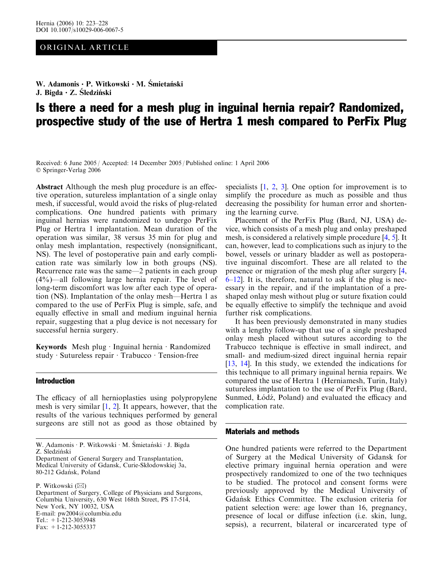# ORIGINAL ARTICLE

W. Adamonis · P. Witkowski · M. Śmietański J. Bigda  $\cdot$  Z. Sledziński

# Is there a need for a mesh plug in inguinal hernia repair? Randomized, prospective study of the use of Hertra 1 mesh compared to PerFix Plug

Received: 6 June 2005 / Accepted: 14 December 2005 / Published online: 1 April 2006 Springer-Verlag 2006

Abstract Although the mesh plug procedure is an effective operation, sutureless implantation of a single onlay mesh, if successful, would avoid the risks of plug-related complications. One hundred patients with primary inguinal hernias were randomized to undergo PerFix Plug or Hertra 1 implantation. Mean duration of the operation was similar, 38 versus 35 min for plug and onlay mesh implantation, respectively (nonsignificant, NS). The level of postoperative pain and early complication rate was similarly low in both groups (NS). Recurrence rate was the same—2 patients in each group (4%)—all following large hernia repair. The level of long-term discomfort was low after each type of operation (NS). Implantation of the onlay mesh—Hertra 1 as compared to the use of PerFix Plug is simple, safe, and equally effective in small and medium inguinal hernia repair, suggesting that a plug device is not necessary for successful hernia surgery.

Keywords Mesh plug · Inguinal hernia · Randomized  $study · Sutureless repair · Trabucco · Tension-free$ 

### Introduction

The efficacy of all hernioplasties using polypropylene mesh is very similar [[1,](#page-5-0) [2\]](#page-5-0). It appears, however, that the results of the various techniques performed by general surgeons are still not as good as those obtained by

Department of General Surgery and Transplantation, Medical University of Gdansk, Curie-Skłodowskiej 3a, 80-212 Gdańsk, Poland

P. Witkowski  $(\boxtimes)$ 

Department of Surgery, College of Physicians and Surgeons, Columbia University, 630 West 168th Street, PS 17-514, New York, NY 10032, USA E-mail: pw2004@columbia.edu Tel.:  $+1$ -212-3053948 Fax: +1-212-3055337

specialists [\[1](#page-5-0), [2,](#page-5-0) [3\]](#page-5-0). One option for improvement is to simplify the procedure as much as possible and thus decreasing the possibility for human error and shortening the learning curve.

Placement of the PerFix Plug (Bard, NJ, USA) device, which consists of a mesh plug and onlay preshaped mesh, is considered a relatively simple procedure [[4,](#page-5-0) [5\]](#page-5-0). It can, however, lead to complications such as injury to the bowel, vessels or urinary bladder as well as postoperative inguinal discomfort. These are all related to the presence or migration of the mesh plug after surgery [\[4](#page-5-0), [6–12\]](#page-5-0). It is, therefore, natural to ask if the plug is necessary in the repair, and if the implantation of a preshaped onlay mesh without plug or suture fixation could be equally effective to simplify the technique and avoid further risk complications.

It has been previously demonstrated in many studies with a lengthy follow-up that use of a single preshaped onlay mesh placed without sutures according to the Trabucco technique is effective in small indirect, and small- and medium-sized direct inguinal hernia repair [\[13](#page-5-0), [14](#page-5-0)]. In this study, we extended the indications for this technique to all primary inguinal hernia repairs. We compared the use of Hertra 1 (Herniamesh, Turin, Italy) sutureless implantation to the use of PerFix Plug (Bard, Sunmed, Łódź, Poland) and evaluated the efficacy and complication rate.

### Materials and methods

One hundred patients were referred to the Department of Surgery at the Medical University of Gdansk for elective primary inguinal hernia operation and were prospectively randomized to one of the two techniques to be studied. The protocol and consent forms were previously approved by the Medical University of Gdan´sk Ethics Committee. The exclusion criteria for patient selection were: age lower than 16, pregnancy, presence of local or diffuse infection (i.e. skin, lung, sepsis), a recurrent, bilateral or incarcerated type of

W. Adamonis · P. Witkowski · M. Śmietański · J. Bigda Z. Sledziński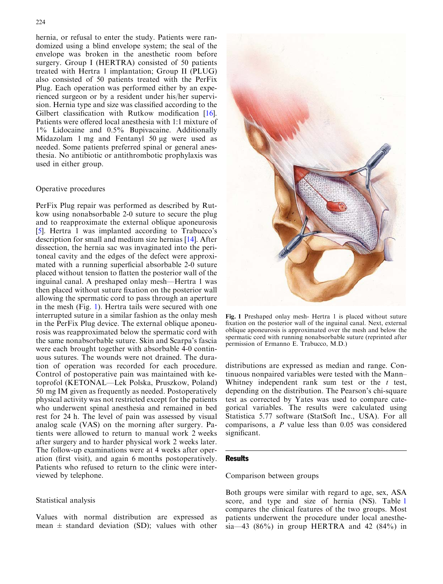hernia, or refusal to enter the study. Patients were randomized using a blind envelope system; the seal of the envelope was broken in the anesthetic room before surgery. Group I (HERTRA) consisted of 50 patients treated with Hertra 1 implantation; Group II (PLUG) also consisted of 50 patients treated with the PerFix Plug. Each operation was performed either by an experienced surgeon or by a resident under his/her supervision. Hernia type and size was classified according to the Gilbert classification with Rutkow modification [\[16](#page-5-0)]. Patients were offered local anesthesia with 1:1 mixture of 1% Lidocaine and 0.5% Bupivacaine. Additionally Midazolam 1 mg and Fentanyl 50 *l*g were used as needed. Some patients preferred spinal or general anesthesia. No antibiotic or antithrombotic prophylaxis was used in either group.

#### Operative procedures

PerFix Plug repair was performed as described by Rutkow using nonabsorbable 2-0 suture to secure the plug and to reapproximate the external oblique aponeurosis [[5](#page-5-0)]. Hertra 1 was implanted according to Trabucco's description for small and medium size hernias [[14\]](#page-5-0). After dissection, the hernia sac was invaginated into the peritoneal cavity and the edges of the defect were approximated with a running superficial absorbable 2-0 suture placed without tension to flatten the posterior wall of the inguinal canal. A preshaped onlay mesh—Hertra 1 was then placed without suture fixation on the posterior wall allowing the spermatic cord to pass through an aperture in the mesh (Fig. 1). Hertra tails were secured with one interrupted suture in a similar fashion as the onlay mesh in the PerFix Plug device. The external oblique aponeurosis was reapproximated below the spermatic cord with the same nonabsorbable suture. Skin and Scarpa's fascia were each brought together with absorbable 4-0 continuous sutures. The wounds were not drained. The duration of operation was recorded for each procedure. Control of postoperative pain was maintained with ketoprofol (KETONAL—Lek Polska, Pruszkow, Poland) 50 mg IM given as frequently as needed. Postoperatively physical activity was not restricted except for the patients who underwent spinal anesthesia and remained in bed rest for 24 h. The level of pain was assessed by visual analog scale (VAS) on the morning after surgery. Patients were allowed to return to manual work 2 weeks after surgery and to harder physical work 2 weeks later. The follow-up examinations were at 4 weeks after operation (first visit), and again 6 months postoperatively. Patients who refused to return to the clinic were interviewed by telephone.

#### Statistical analysis

Values with normal distribution are expressed as mean  $\pm$  standard deviation (SD); values with other



Fig. 1 Preshaped onlay mesh- Hertra 1 is placed without suture fixation on the posterior wall of the inguinal canal. Next, external oblique aponeurosis is approximated over the mesh and below the spermatic cord with running nonabsorbable suture (reprinted after permission of Ermanno E. Trabucco, M.D.)

distributions are expressed as median and range. Continuous nonpaired variables were tested with the Mann– Whitney independent rank sum test or the  $t$  test, depending on the distribution. The Pearson's chi-square test as corrected by Yates was used to compare categorical variables. The results were calculated using Statistica 5.77 software (StatSoft Inc., USA). For all comparisons, a P value less than 0.05 was considered significant.

# **Results**

# Comparison between groups

Both groups were similar with regard to age, sex, ASA score, and type and size of hernia (NS). Table [1](#page-2-0) compares the clinical features of the two groups. Most patients underwent the procedure under local anesthesia—43 (86%) in group HERTRA and 42 (84%) in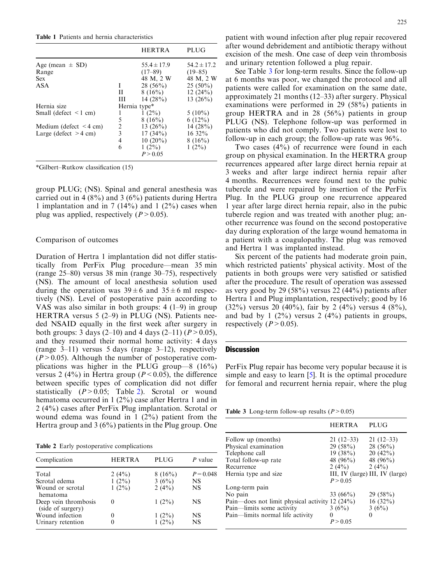<span id="page-2-0"></span>Table 1 Patients and hernia characteristics

|                             |    | <b>HERTRA</b>   | PLUG            |
|-----------------------------|----|-----------------|-----------------|
| Age (mean $\pm$ SD)         |    | $55.4 \pm 17.9$ | $54.2 \pm 17.2$ |
| Range                       |    | $(17 - 89)$     | $(19 - 85)$     |
| <b>Sex</b>                  |    | 48 M, 2 W       | 48 M, 2 W       |
| ASA                         | L  | $28(56\%)$      | $25(50\%)$      |
|                             | Н. | $8(16\%)$       | 12(24%)         |
|                             | Ш  | 14 $(28%)$      | 13 $(26\%)$     |
| Hernia size                 |    | Hernia type*    |                 |
| Small (defect $\leq 1$ cm)  |    | $1(2\%)$        | $5(10\%)$       |
|                             | 5  | 8(16%)          | $6(12\%)$       |
| Medium (defect $\leq$ 4 cm) | 2  | 13 $(26%)$      | 14 $(28%)$      |
| Large (defect $>4$ cm)      | 3  | $17(34\%)$      | 16 32%          |
|                             | 4  | $10(20\%)$      | 8(16%)          |
|                             | 6  | $1(2\%)$        | $1(2\%)$        |
|                             |    | P > 0.05        |                 |

\*Gilbert–Rutkow classification (15)

group PLUG; (NS). Spinal and general anesthesia was carried out in 4 (8%) and 3 (6%) patients during Hertra 1 implantation and in 7 (14%) and 1 (2%) cases when plug was applied, respectively  $(P>0.05)$ .

#### Comparison of outcomes

Duration of Hertra 1 implantation did not differ statistically from PerFix Plug procedure—mean 35 min (range 25–80) versus 38 min (range 30–75), respectively (NS). The amount of local anesthesia solution used during the operation was  $39 \pm 6$  and  $35 \pm 6$  ml respectively (NS). Level of postoperative pain according to VAS was also similar in both groups: 4 (1–9) in group HERTRA versus 5 (2–9) in PLUG (NS). Patients needed NSAID equally in the first week after surgery in both groups: 3 days (2–10) and 4 days (2–11) ( $P > 0.05$ ), and they resumed their normal home activity: 4 days (range 3–11) versus 5 days (range 3–12), respectively  $(P>0.05)$ . Although the number of postoperative complications was higher in the PLUG group—8 (16%) versus 2 (4%) in Hertra group ( $P < 0.05$ ), the difference between specific types of complication did not differ statistically  $(P>0.05;$  Table 2). Scrotal or wound hematoma occurred in 1 (2%) case after Hertra 1 and in 2 (4%) cases after PerFix Plug implantation. Scrotal or wound edema was found in 1 (2%) patient from the Hertra group and 3 (6%) patients in the Plug group. One

Table 2 Early postoperative complications

| Complication                              | <b>HERTRA</b> | PLUG     | P value     |
|-------------------------------------------|---------------|----------|-------------|
| Total                                     | 2 $(4\%)$     | 8(16%)   | $P = 0.048$ |
| Scrotal edema                             | $1(2\%)$      | 3(6%)    | NS          |
| Wound or scrotal<br>hematoma              | $1(2\%)$      | $2(4\%)$ | <b>NS</b>   |
| Deep vein thrombosis<br>(side of surgery) |               | $1(2\%)$ | NS          |
| Wound infection                           |               | $1(2\%)$ | NS          |
| Urinary retention                         |               | $1(2\%)$ | <b>NS</b>   |
|                                           |               |          |             |

patient with wound infection after plug repair recovered after wound debridement and antibiotic therapy without excision of the mesh. One case of deep vein thrombosis and urinary retention followed a plug repair.

See Table 3 for long-term results. Since the follow-up at 6 months was poor, we changed the protocol and all patients were called for examination on the same date, approximately 21 months (12–33) after surgery. Physical examinations were performed in 29 (58%) patients in group HERTRA and in 28 (56%) patients in group PLUG (NS). Telephone follow-up was performed in patients who did not comply. Two patients were lost to follow-up in each group; the follow-up rate was 96%.

Two cases (4%) of recurrence were found in each group on physical examination. In the HERTRA group recurrences appeared after large direct hernia repair at 3 weeks and after large indirect hernia repair after 4 months. Recurrences were found next to the pubic tubercle and were repaired by insertion of the PerFix Plug. In the PLUG group one recurrence appeared 1 year after large direct hernia repair, also in the pubic tubercle region and was treated with another plug; another recurrence was found on the second postoperative day during exploration of the large wound hematoma in a patient with a coagulopathy. The plug was removed and Hertra 1 was implanted instead.

Six percent of the patients had moderate groin pain, which restricted patients' physical activity. Most of the patients in both groups were very satisfied or satisfied after the procedure. The result of operation was assessed as very good by 29 (58%) versus 22 (44%) patients after Hertra 1 and Plug implantation, respectively; good by 16 (32%) versus 20 (40%), fair by 2 (4%) versus 4 (8%), and bad by 1  $(2\%)$  versus 2  $(4\%)$  patients in groups, respectively  $(P>0.05)$ .

#### **Discussion**

PerFix Plug repair has become very popular because it is simple and easy to learn [[5\]](#page-5-0). It is the optimal procedure for femoral and recurrent hernia repair, where the plug

Table 3 Long-term follow-up results  $(P > 0.05)$ 

|                                                                                                                                              | <b>HERTRA</b>                                            | PLUG                                                                                                |
|----------------------------------------------------------------------------------------------------------------------------------------------|----------------------------------------------------------|-----------------------------------------------------------------------------------------------------|
| Follow up (months)<br>Physical examination<br>Telephone call<br>Total follow-up rate<br>Recurrence<br>Hernia type and size.                  | $21(12-33)$<br>29(58%)<br>19(38%)<br>48 (96%)<br>2(4%)   | $21(12-33)$<br>$28(56\%)$<br>20(42%)<br>48 $(96\%)$<br>2 $(4\%)$<br>III, IV (large) III, IV (large) |
| Long-term pain<br>No pain<br>Pain—does not limit physical activity 12 (24%)<br>Pain-limits some activity<br>Pain-limits normal life activity | P > 0.05<br>33 $(66\%)$<br>3(6%)<br>$\theta$<br>P > 0.05 | 29(58%)<br>$16(32\%)$<br>3(6%)<br>$\Omega$                                                          |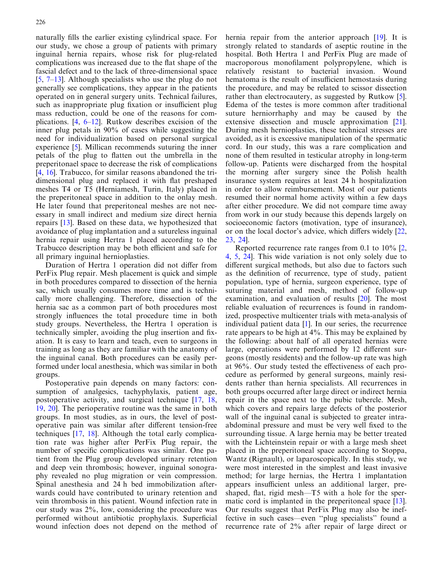naturally fills the earlier existing cylindrical space. For our study, we chose a group of patients with primary inguinal hernia repairs, whose risk for plug-related complications was increased due to the flat shape of the fascial defect and to the lack of three-dimensional space  $[5, 7-13]$  $[5, 7-13]$  $[5, 7-13]$  $[5, 7-13]$  $[5, 7-13]$  $[5, 7-13]$ . Although specialists who use the plug do not generally see complications, they appear in the patients operated on in general surgery units. Technical failures, such as inappropriate plug fixation or insufficient plug mass reduction, could be one of the reasons for complications. [\[4](#page-5-0), [6](#page-5-0)–[12\]](#page-5-0). Rutkow describes excision of the inner plug petals in 90% of cases while suggesting the need for individualization based on personal surgical experience [[5\]](#page-5-0). Millican recommends suturing the inner petals of the plug to flatten out the umbrella in the preperitonael space to decrease the risk of complications [[4](#page-5-0), [16\]](#page-5-0). Trabucco, for similar reasons abandoned the tridimensional plug and replaced it with flat preshaped meshes T4 or T5 (Herniamesh, Turin, Italy) placed in the preperitoneal space in addition to the onlay mesh. He later found that preperitoneal meshes are not necessary in small indirect and medium size direct hernia repairs [\[13](#page-5-0)]. Based on these data, we hypothesized that avoidance of plug implantation and a sutureless inguinal hernia repair using Hertra 1 placed according to the Trabucco description may be both efficient and safe for all primary inguinal hernioplasties.

Duration of Hertra 1 operation did not differ from PerFix Plug repair. Mesh placement is quick and simple in both procedures compared to dissection of the hernia sac, which usually consumes more time and is technically more challenging. Therefore, dissection of the hernia sac as a common part of both procedures most strongly influences the total procedure time in both study groups. Nevertheless, the Hertra 1 operation is technically simpler, avoiding the plug insertion and fixation. It is easy to learn and teach, even to surgeons in training as long as they are familiar with the anatomy of the inguinal canal. Both procedures can be easily performed under local anesthesia, which was similar in both groups.

Postoperative pain depends on many factors: consumption of analgesics, tachyphylaxis, patient age, postoperative activity, and surgical technique [\[17](#page-5-0), [18](#page-5-0), [19](#page-5-0), [20\]](#page-5-0). The perioperative routine was the same in both groups. In most studies, as in ours, the level of postoperative pain was similar after different tension-free techniques [[17,](#page-5-0) [18\]](#page-5-0). Although the total early complication rate was higher after PerFix Plug repair, the number of specific complications was similar. One patient from the Plug group developed urinary retention and deep vein thrombosis; however, inguinal sonography revealed no plug migration or vein compression. Spinal anesthesia and 24 h bed immobilization afterwards could have contributed to urinary retention and vein thrombosis in this patient. Wound infection rate in our study was 2%, low, considering the procedure was performed without antibiotic prophylaxis. Superficial wound infection does not depend on the method of

hernia repair from the anterior approach [\[19\]](#page-5-0). It is strongly related to standards of aseptic routine in the hospital. Both Hertra 1 and PerFix Plug are made of macroporous monofilament polypropylene, which is relatively resistant to bacterial invasion. Wound hematoma is the result of insufficient hemostasis during the procedure, and may be related to scissor dissection rather than electrocautery, as suggested by Rutkow [[5\]](#page-5-0). Edema of the testes is more common after traditional suture herniorrhaphy and may be caused by the extensive dissection and muscle approximation [\[21\]](#page-5-0). During mesh hernioplasties, these technical stresses are avoided, as it is excessive manipulation of the spermatic cord. In our study, this was a rare complication and none of them resulted in testicular atrophy in long-term follow-up. Patients were discharged from the hospital the morning after surgery since the Polish health insurance system requires at least 24 h hospitalization in order to allow reimbursement. Most of our patients resumed their normal home activity within a few days after either procedure. We did not compare time away from work in our study because this depends largely on socioeconomic factors (motivation, type of insurance), or on the local doctor's advice, which differs widely [\[22](#page-5-0), [23](#page-5-0), [24](#page-5-0)].

Reported recurrence rate ranges from 0.1 to 10% [\[2](#page-5-0), [4](#page-5-0), [5](#page-5-0), [24](#page-5-0)]. This wide variation is not only solely due to different surgical methods, but also due to factors such as the definition of recurrence, type of study, patient population, type of hernia, surgeon experience, type of suturing material and mesh, method of follow-up examination, and evaluation of results [\[20](#page-5-0)]. The most reliable evaluation of recurrences is found in randomized, prospective multicenter trials with meta-analysis of individual patient data [[1\]](#page-5-0). In our series, the recurrence rate appears to be high at 4%. This may be explained by the following: about half of all operated hernias were large, operations were performed by 12 different surgeons (mostly residents) and the follow-up rate was high at 96%. Our study tested the effectiveness of each procedure as performed by general surgeons, mainly residents rather than hernia specialists. All recurrences in both groups occurred after large direct or indirect hernia repair in the space next to the pubic tubercle. Mesh, which covers and repairs large defects of the posterior wall of the inguinal canal is subjected to greater intraabdominal pressure and must be very well fixed to the surrounding tissue. A large hernia may be better treated with the Lichteinstein repair or with a large mesh sheet placed in the preperitoneal space according to Stoppa, Wantz (Rignault), or laparoscopically. In this study, we were most interested in the simplest and least invasive method; for large hernias, the Hertra 1 implantation appears insufficient unless an additional larger, preshaped, flat, rigid mesh—T5 with a hole for the spermatic cord is implanted in the preperitoneal space [\[13\]](#page-5-0). Our results suggest that PerFix Plug may also be ineffective in such cases—even ''plug specialists'' found a recurrence rate of 2% after repair of large direct or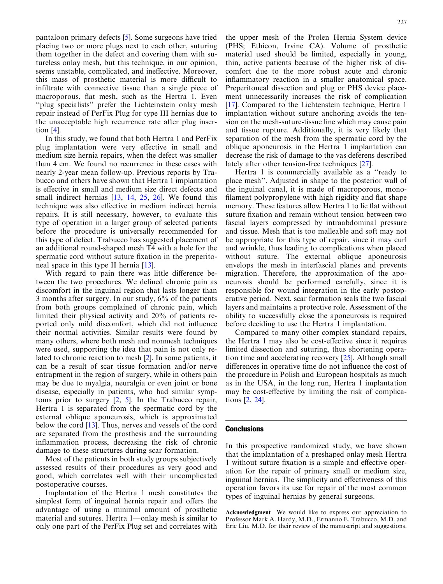pantaloon primary defects [[5\]](#page-5-0). Some surgeons have tried placing two or more plugs next to each other, suturing them together in the defect and covering them with sutureless onlay mesh, but this technique, in our opinion, seems unstable, complicated, and ineffective. Moreover, this mass of prosthetic material is more difficult to infiltrate with connective tissue than a single piece of macroporous, flat mesh, such as the Hertra 1. Even ''plug specialists'' prefer the Lichteinstein onlay mesh repair instead of PerFix Plug for type III hernias due to the unacceptable high recurrence rate after plug insertion [[4\]](#page-5-0).

In this study, we found that both Hertra 1 and PerFix plug implantation were very effective in small and medium size hernia repairs, when the defect was smaller than 4 cm. We found no recurrence in these cases with nearly 2-year mean follow-up. Previous reports by Trabucco and others have shown that Hertra 1 implantation is effective in small and medium size direct defects and small indirect hernias [[13,](#page-5-0) [14](#page-5-0), [25](#page-5-0), [26\]](#page-5-0). We found this technique was also effective in medium indirect hernia repairs. It is still necessary, however, to evaluate this type of operation in a larger group of selected patients before the procedure is universally recommended for this type of defect. Trabucco has suggested placement of an additional round-shaped mesh T4 with a hole for the spermatic cord without suture fixation in the preperitoneal space in this type II hernia [[13\]](#page-5-0).

With regard to pain there was little difference between the two procedures. We defined chronic pain as discomfort in the inguinal region that lasts longer than 3 months after surgery. In our study, 6% of the patients from both groups complained of chronic pain, which limited their physical activity and 20% of patients reported only mild discomfort, which did not influence their normal activities. Similar results were found by many others, where both mesh and nonmesh techniques were used, supporting the idea that pain is not only related to chronic reaction to mesh [[2](#page-5-0)]. In some patients, it can be a result of scar tissue formation and/or nerve entrapment in the region of surgery, while in others pain may be due to myalgia, neuralgia or even joint or bone disease, especially in patients, who had similar symptoms prior to surgery [\[2](#page-5-0), [5](#page-5-0)]. In the Trabucco repair, Hertra 1 is separated from the spermatic cord by the external oblique aponeurosis, which is approximated below the cord [[13](#page-5-0)]. Thus, nerves and vessels of the cord are separated from the prosthesis and the surrounding inflammation process, decreasing the risk of chronic damage to these structures during scar formation.

Most of the patients in both study groups subjectively assessed results of their procedures as very good and good, which correlates well with their uncomplicated postoperative courses.

Implantation of the Hertra 1 mesh constitutes the simplest form of inguinal hernia repair and offers the advantage of using a minimal amount of prosthetic material and sutures. Hertra 1—onlay mesh is similar to only one part of the PerFix Plug set and correlates with

the upper mesh of the Prolen Hernia System device (PHS; Ethicon, Irvine CA). Volume of prosthetic material used should be limited, especially in young, thin, active patients because of the higher risk of discomfort due to the more robust acute and chronic inflammatory reaction in a smaller anatomical space. Preperitoneal dissection and plug or PHS device placement unnecessarily increases the risk of complication [\[17](#page-5-0)]. Compared to the Lichtenstein technique, Hertra 1 implantation without suture anchoring avoids the tension on the mesh-suture-tissue line which may cause pain

and tissue rupture. Additionally, it is very likely that separation of the mesh from the spermatic cord by the oblique aponeurosis in the Hertra 1 implantation can decrease the risk of damage to the vas deferens described lately after other tension-free techniques [\[27](#page-5-0)].

Hertra 1 is commercially available as a ''ready to place mesh''. Adjusted in shape to the posterior wall of the inguinal canal, it is made of macroporous, monofilament polypropylene with high rigidity and flat shape memory. These features allow Hertra 1 to lie flat without suture fixation and remain without tension between two fascial layers compressed by intraabdominal pressure and tissue. Mesh that is too malleable and soft may not be appropriate for this type of repair, since it may curl and wrinkle, thus leading to complications when placed without suture. The external oblique aponeurosis envelops the mesh in interfascial planes and prevents migration. Therefore, the approximation of the aponeurosis should be performed carefully, since it is responsible for wound integration in the early postoperative period. Next, scar formation seals the two fascial layers and maintains a protective role. Assessment of the ability to successfully close the aponeurosis is required before deciding to use the Hertra 1 implantation.

Compared to many other complex standard repairs, the Hertra 1 may also be cost-effective since it requires limited dissection and suturing, thus shortening operation time and accelerating recovery [\[25\]](#page-5-0). Although small differences in operative time do not influence the cost of the procedure in Polish and European hospitals as much as in the USA, in the long run, Hertra 1 implantation may be cost-effective by limiting the risk of complications [[2,](#page-5-0) [24](#page-5-0)].

#### **Conclusions**

In this prospective randomized study, we have shown that the implantation of a preshaped onlay mesh Hertra 1 without suture fixation is a simple and effective operation for the repair of primary small or medium size, inguinal hernias. The simplicity and effectiveness of this operation favors its use for repair of the most common types of inguinal hernias by general surgeons.

Acknowledgment We would like to express our appreciation to Professor Mark A. Hardy, M.D., Ermanno E. Trabucco, M.D. and Eric Liu, M.D. for their review of the manuscript and suggestions.